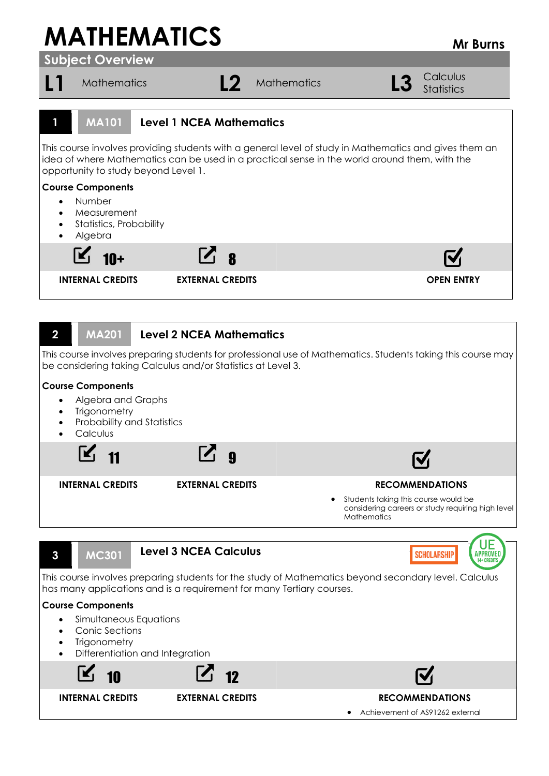## **MATHEMATICS** MEDITION

**Subject Overview**

L1 Mathematics **L2** Mathematics **L3** Calculus **Statistics 1 MA101 Level 1 NCEA Mathematics** This course involves providing students with a general level of study in Mathematics and gives them an idea of where Mathematics can be used in a practical sense in the world around them, with the opportunity to study beyond Level 1. **Course Components** Number Measurement Statistics, Probability Algebra  $\mathcal{L}_{1}$  8 **INTERNAL CREDITS EXTERNAL CREDITS OPEN ENTRY 2 MA201 Level 2 NCEA Mathematics** This course involves preparing students for professional use of Mathematics. Students taking this course may be considering taking Calculus and/or Statistics at Level 3. **Course Components** • Algebra and Graphs **Trigonometry**  Probability and Statistics **Calculus** I¥.  $11$   $\Box$  9 **INTERNAL CREDITS EXTERNAL CREDITS RECOMMENDATIONS** Students taking this course would be considering careers or study requiring high level **Mathematics** 

UE **3 MC301 Level 3 NCEA Calculus** APPROVED **SCHOLARSHIP** This course involves preparing students for the study of Mathematics beyond secondary level. Calculus has many applications and is a requirement for many Tertiary courses. **Course Components** Simultaneous Equations Conic Sections **Trigonometry**  Differentiation and Integration K  $10$  12 **INTERNAL CREDITS EXTERNAL CREDITS RECOMMENDATIONS**

Achievement of AS91262 external